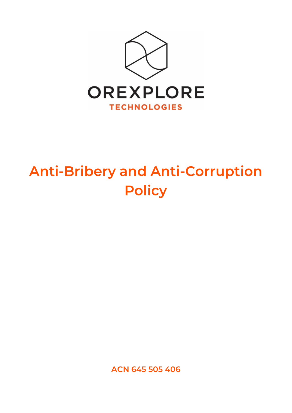

# **Anti-Bribery and Anti-Corruption Policy**

**ACN 645 505 406**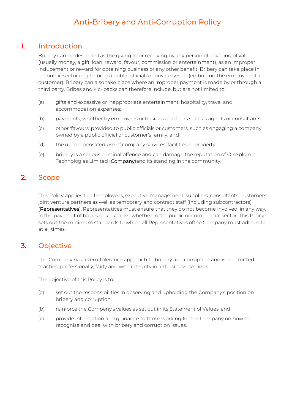## Anti-Bribery and Anti-Corruption Policy

## 1. Introduction

Bribery can be described as the giving to or receiving by any person of anything of value (usually money, a gift, loan, reward, favour, commission or entertainment), as an improper inducement or reward for obtaining business or any other benefit. Bribery can take place in thepublic sector (e.g. bribing a public official) or private sector (eg bribing the employee of a customer). Bribery can also take place where an improper payment is made by or through a third party. Bribes and kickbacks can therefore include, but are not limited to:

- (a) gifts and excessive or inappropriate entertainment, hospitality, travel and accommodation expenses;
- (b) payments, whether by employees or business partners such as agents or consultants;
- (c) other 'favours' provided to public officials or customers, such as engaging a company owned by a public official or customer's family; and
- (d) the uncompensated use of company services, facilities or property.
- (e) bribery is a serious criminal offence and can damage the reputation of Orexplore Technologies Limited (Company)and its standing in the community.

## 2. Scope

This Policy applies to all employees, executive management, suppliers, consultants, customers, joint venture partners as well as temporary and contract staff (including subcontractors) (Representatives). Representatives must ensure that they do not become involved, in any way, in the payment of bribes or kickbacks, whether in the public or commercial sector. This Policy sets out the minimum standards to which all Representatives ofthe Company must adhere to at all times.

## 3. Objective

The Company has a zero-tolerance approach to bribery and corruption and is committed toacting professionally, fairly and with integrity in all business dealings.

The objective of this Policy is to:

- (a) set out the responsibilities in observing and upholding the Company's position on bribery and corruption;
- (b) reinforce the Company's values as set out in its Statement of Values; and
- (c) provide information and guidance to those working for the Company on how to recognise and deal with bribery and corruption issues.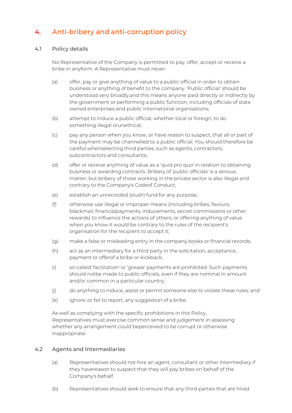## 4. Anti-bribery and anti-corruption policy

#### 4.1 Policy details

No Representative of the Company is permitted to pay, offer, accept or receive a bribe in anyform. A Representative must never:

- (a) offer, pay or give anything of value to a public official in order to obtain business or anything of benefit to the company. 'Public official' should be understood very broadly,and this means anyone paid directly or indirectly by the government or performing a public function, including officials of state owned enterprises and public international organisations;
- (b) attempt to induce a public official, whether local or foreign, to do something illegal orunethical;
- (c) pay any person when you know, or have reason to suspect, that all or part of the payment may be channelled to a public official. You should therefore be careful whenselecting third parties, such as agents, contractors, subcontractors and consultants;
- (d) offer or receive anything of value as a 'quid pro quo' in relation to obtaining business or awarding contracts. Bribery of 'public officials' is a serious matter, but bribery of those working in the private sector is also illegal and contrary to the Company's Codeof Conduct;
- (e) establish an unrecorded (slush) fund for any purpose;
- (f) otherwise use illegal or improper means (including bribes, favours, blackmail, financialpayments, inducements, secret commissions or other rewards) to influence the actions of others; or offering anything of value when you know it would be contrary to the rules of the recipient's organisation for the recipient to accept it;
- (g) make a false or misleading entry in the company books or financial records;
- (h) act as an intermediary for a third party in the solicitation, acceptance, payment or offerof a bribe or kickback;
- (i) so-called 'facilitation' or 'grease' payments are prohibited. Such payments should notbe made to public officials, even if they are nominal in amount and/or common in a particular country;
- (j) do anything to induce, assist or permit someone else to violate these rules; and
- (k) ignore, or fail to report, any suggestion of a bribe.

As well as complying with the specific prohibitions in this Policy, Representatives must exercise common sense and judgement in assessing whether any arrangement could beperceived to be corrupt or otherwise inappropriate.

#### 4.2 Agents and Intermediaries

- (a) Representatives should not hire an agent, consultant or other intermediary if they havereason to suspect that they will pay bribes on behalf of the Company's behalf.
- (b) Representatives should seek to ensure that any third parties that are hired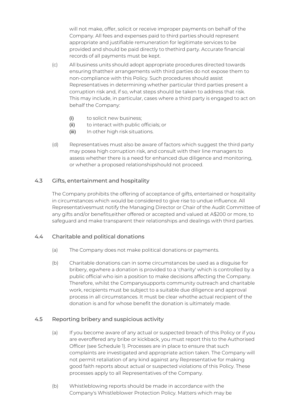will not make, offer, solicit or receive improper payments on behalf of the Company. All fees and expenses paid to third parties should represent appropriate and justifiable remuneration for legitimate services to be provided and should be paid directly to thethird party. Accurate financial records of all payments must be kept.

- (c) All business units should adopt appropriate procedures directed towards ensuring thattheir arrangements with third parties do not expose them to non-compliance with this Policy. Such procedures should assist Representatives in determining whether particular third parties present a corruption risk and, if so, what steps should be taken to address that risk. This may include, in particular, cases where a third party is engaged to act on behalf the Company:
	- (i) to solicit new business;
	- (ii) to interact with public officials; or
	- (iii) In other high risk situations.
- (d) Representatives must also be aware of factors which suggest the third party may posea high corruption risk, and consult with their line managers to assess whether there is a need for enhanced due diligence and monitoring, or whether a proposed relationshipshould not proceed.

#### 4.3 Gifts, entertainment and hospitality

The Company prohibits the offering of acceptance of gifts, entertained or hospitality in circumstances which would be considered to give rise to undue influence. All Representativesmust notify the Managing Director or Chair of the Audit Committee of any gifts and/or benefits,either offered or accepted and valued at A\$200 or more, to safeguard and make transparent their relationships and dealings with third parties.

#### 4.4 Charitable and political donations

- (a) The Company does not make political donations or payments.
- (b) Charitable donations can in some circumstances be used as a disguise for bribery, egwhere a donation is provided to a 'charity' which is controlled by a public official who isin a position to make decisions affecting the Company. Therefore, whilst the Companysupports community outreach and charitable work, recipients must be subject to a suitable due diligence and approval process in all circumstances. It must be clear whothe actual recipient of the donation is and for whose benefit the donation is ultimately made.

#### 4.5 Reporting bribery and suspicious activity

- (a) If you become aware of any actual or suspected breach of this Policy or if you are everoffered any bribe or kickback, you must report this to the Authorised Officer (see Schedule 1). Processes are in place to ensure that such complaints are investigated and appropriate action taken. The Company will not permit retaliation of any kind against any Representative for making good faith reports about actual or suspected violations of this Policy. These processes apply to all Representatives of the Company.
- (b) Whistleblowing reports should be made in accordance with the Company's Whistleblower Protection Policy. Matters which may be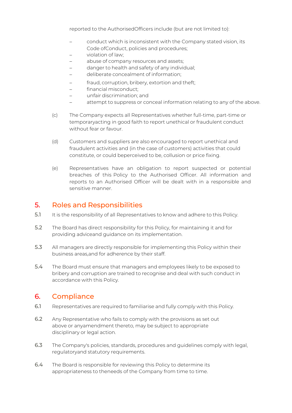reported to the AuthorisedOfficers include (but are not limited to):

- conduct which is inconsistent with the Company stated vision, its Code ofConduct, policies and procedures;
- violation of law;
- abuse of company resources and assets;
- − danger to health and safety of any individual;
- − deliberate concealment of information;
- fraud, corruption, bribery, extortion and theft;
- − financial misconduct;
- − unfair discrimination; and
	- attempt to suppress or conceal information relating to any of the above.
- (c) The Company expects all Representatives whether full-time, part-time or temporaryacting in good faith to report unethical or fraudulent conduct without fear or favour.
- (d) Customers and suppliers are also encouraged to report unethical and fraudulent activities and (in the case of customers) activities that could constitute, or could beperceived to be, collusion or price fixing.
- (e) Representatives have an obligation to report suspected or potential breaches of this Policy to the Authorised Officer. All information and reports to an Authorised Officer will be dealt with in a responsible and sensitive manner.

#### 5. Roles and Responsibilities

- 5.1 It is the responsibility of all Representatives to know and adhere to this Policy.
- 5.2 The Board has direct responsibility for this Policy, for maintaining it and for providing adviceand guidance on its implementation.
- 5.3 All managers are directly responsible for implementing this Policy within their business areas,and for adherence by their staff.
- 5.4 The Board must ensure that managers and employees likely to be exposed to bribery and corruption are trained to recognise and deal with such conduct in accordance with this Policy.

## 6. Compliance

- 6.1 Representatives are required to familiarise and fully comply with this Policy.
- 6.2 Any Representative who fails to comply with the provisions as set out above or anyamendment thereto, may be subject to appropriate disciplinary or legal action.
- 6.3 The Company's policies, standards, procedures and guidelines comply with legal, regulatoryand statutory requirements.
- 6.4 The Board is responsible for reviewing this Policy to determine its appropriateness to theneeds of the Company from time to time.